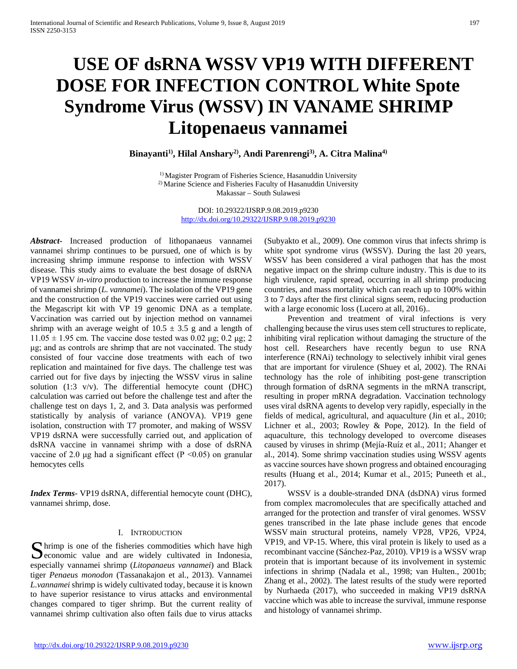# **USE OF dsRNA WSSV VP19 WITH DIFFERENT DOSE FOR INFECTION CONTROL White Spote Syndrome Virus (WSSV) IN VANAME SHRIMP Litopenaeus vannamei**

**Binayanti1), Hilal Anshary2), Andi Parenrengi3), A. Citra Malina4)** 

<sup>1)</sup> Magister Program of Fisheries Science, Hasanuddin University 2) Marine Science and Fisheries Faculty of Hasanuddin University Makassar – South Sulawesi

> DOI: 10.29322/IJSRP.9.08.2019.p9230 <http://dx.doi.org/10.29322/IJSRP.9.08.2019.p9230>

*Abstract***-** Increased production of lithopanaeus vannamei vannamei shrimp continues to be pursued, one of which is by increasing shrimp immune response to infection with WSSV disease. This study aims to evaluate the best dosage of dsRNA VP19 WSSV *in-vitro* production to increase the immune response of vannamei shrimp (*L. vannamei*). The isolation of the VP19 gene and the construction of the VP19 vaccines were carried out using the Megascript kit with VP 19 genomic DNA as a template. Vaccination was carried out by injection method on vannamei shrimp with an average weight of  $10.5 \pm 3.5$  g and a length of  $11.05 \pm 1.95$  cm. The vaccine dose tested was 0.02 μg; 0.2 μg; 2 μg; and as controls are shrimp that are not vaccinated. The study consisted of four vaccine dose treatments with each of two replication and maintained for five days. The challenge test was carried out for five days by injecting the WSSV virus in saline solution (1:3 v/v). The differential hemocyte count (DHC) calculation was carried out before the challenge test and after the challenge test on days 1, 2, and 3. Data analysis was performed statistically by analysis of variance (ANOVA). VP19 gene isolation, construction with T7 promoter, and making of WSSV VP19 dsRNA were successfully carried out, and application of dsRNA vaccine in vannamei shrimp with a dose of dsRNA vaccine of 2.0 μg had a significant effect ( $P \le 0.05$ ) on granular hemocytes cells

*Index Terms*- VP19 dsRNA, differential hemocyte count (DHC), vannamei shrimp, dose.

#### I. INTRODUCTION

hrimp is one of the fisheries commodities which have high Shrimp is one of the fisheries commodities which have high economic value and are widely cultivated in Indonesia, especially vannamei shrimp (*Litopanaeus vannamei*) and Black tiger *Penaeus monodon* (Tassanakajon et al., 2013). Vannamei *L.vannamei* shrimp is widely cultivated today, because it is known to have superior resistance to virus attacks and environmental changes compared to tiger shrimp. But the current reality of vannamei shrimp cultivation also often fails due to virus attacks

(Subyakto et al., 2009). One common virus that infects shrimp is white spot syndrome virus (WSSV). During the last 20 years, WSSV has been considered a viral pathogen that has the most negative impact on the shrimp culture industry. This is due to its high virulence, rapid spread, occurring in all shrimp producing countries, and mass mortality which can reach up to 100% within 3 to 7 days after the first clinical signs seem, reducing production with a large economic loss (Lucero at all, 2016)..

 Prevention and treatment of viral infections is very challenging because the virus uses stem cell structures to replicate, inhibiting viral replication without damaging the structure of the host cell. Researchers have recently begun to use RNA interference (RNAi) technology to selectively inhibit viral genes that are important for virulence (Shuey et al, 2002). The RNAi technology has the role of inhibiting post-gene transcription through formation of dsRNA segments in the mRNA transcript, resulting in proper mRNA degradation. Vaccination technology uses viral dsRNA agents to develop very rapidly, especially in the fields of medical, agricultural, and aquaculture (Jin et al., 2010; Lichner et al., 2003; Rowley & Pope, 2012). In the field of aquaculture, this technology developed to overcome diseases caused by viruses in shrimp (Mejía-Ruíz et al., 2011; Ahanger et al., 2014). Some shrimp vaccination studies using WSSV agents as vaccine sources have shown progress and obtained encouraging results (Huang et al., 2014; Kumar et al., 2015; Puneeth et al., 2017).

 WSSV is a double-stranded DNA (dsDNA) virus formed from complex macromolecules that are specifically attached and arranged for the protection and transfer of viral genomes. WSSV genes transcribed in the late phase include genes that encode WSSV main structural proteins, namely VP28, VP26, VP24, VP19, and VP-15. Where, this viral protein is likely to used as a recombinant vaccine (Sánchez-Paz, 2010). VP19 is a WSSV wrap protein that is important because of its involvement in systemic infections in shrimp (Nadala et al., 1998; van Hulten., 2001b; Zhang et al., 2002). The latest results of the study were reported by Nurhaeda (2017), who succeeded in making VP19 dsRNA vaccine which was able to increase the survival, immune response and histology of vannamei shrimp.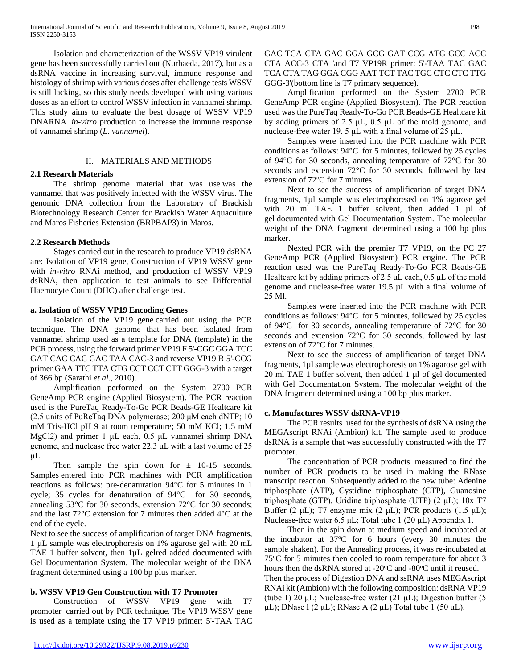Isolation and characterization of the WSSV VP19 virulent gene has been successfully carried out (Nurhaeda, 2017), but as a dsRNA vaccine in increasing survival, immune response and histology of shrimp with various doses after challenge tests WSSV is still lacking, so this study needs developed with using various doses as an effort to control WSSV infection in vannamei shrimp. This study aims to evaluate the best dosage of WSSV VP19 DNARNA *in-vitro* production to increase the immune response of vannamei shrimp (*L. vannamei*).

#### II. MATERIALS AND METHODS

#### **2.1 Research Materials**

 The shrimp genome material that was use was the vannamei that was positively infected with the WSSV virus. The genomic DNA collection from the Laboratory of Brackish Biotechnology Research Center for Brackish Water Aquaculture and Maros Fisheries Extension (BRPBAP3) in Maros.

#### **2.2 Research Methods**

 Stages carried out in the research to produce VP19 dsRNA are: Isolation of VP19 gene, Construction of VP19 WSSV gene with *in-vitro* RNAi method, and production of WSSV VP19 dsRNA, then application to test animals to see Differential Haemocyte Count (DHC) after challenge test.

#### **a. Isolation of WSSV VP19 Encoding Genes**

 Isolation of the VP19 gene carried out using the PCR technique. The DNA genome that has been isolated from vannamei shrimp used as a template for DNA (template) in the PCR process, using the forward primer VP19 F 5'-CGC GGA TCC GAT CAC CAC GAC TAA CAC-3 and reverse VP19 R 5'-CCG primer GAA TTC TTA CTG CCT CCT CTT GGG-3 with a target of 366 bp (Sarathi *et al*., 2010).

 Amplification performed on the System 2700 PCR GeneAmp PCR engine (Applied Biosystem). The PCR reaction used is the PureTaq Ready-To-Go PCR Beads-GE Healtcare kit (2.5 units of PuReTaq DNA polymerase; 200 μM each dNTP; 10 mM Tris-HCl pH 9 at room temperature; 50 mM KCl; 1.5 mM MgCl2) and primer 1 μL each, 0.5 μL vannamei shrimp DNA genome, and nuclease free water 22.3 μL with a last volume of 25 μL.

Then sample the spin down for  $\pm$  10-15 seconds. Samples entered into PCR machines with PCR amplification reactions as follows: pre-denaturation 94°C for 5 minutes in 1 cycle; 35 cycles for denaturation of 94°C for 30 seconds, annealing 53°C for 30 seconds, extension 72°C for 30 seconds; and the last 72°C extension for 7 minutes then added 4°C at the end of the cycle.

Next to see the success of amplification of target DNA fragments, 1 µL sample was electrophoresis on 1% agarose gel with 20 mL TAE 1 buffer solvent, then 1µL gelred added documented with Gel Documentation System. The molecular weight of the DNA fragment determined using a 100 bp plus marker.

# **b. WSSV VP19 Gen Construction with T7 Promoter**

 Construction of WSSV VP19 gene with T7 promoter carried out by PCR technique. The VP19 WSSV gene is used as a template using the T7 VP19 primer: 5'-TAA TAC GAC TCA CTA GAC GGA GCG GAT CCG ATG GCC ACC CTA ACC-3 CTA 'and T7 VP19R primer: 5'-TAA TAC GAC TCA CTA TAG GGA CGG AAT TCT TAC TGC CTC CTC TTG GGG-3'(bottom line is T7 primary sequence).

 Amplification performed on the System 2700 PCR GeneAmp PCR engine (Applied Biosystem). The PCR reaction used was the PureTaq Ready-To-Go PCR Beads-GE Healtcare kit by adding primers of 2.5 μL, 0.5 μL of the mold genome, and nuclease-free water 19. 5 μL with a final volume of 25 μL.

 Samples were inserted into the PCR machine with PCR conditions as follows: 94°C for 5 minutes, followed by 25 cycles of 94°C for 30 seconds, annealing temperature of 72°C for 30 seconds and extension 72°C for 30 seconds, followed by last extension of 72°C for 7 minutes.

 Next to see the success of amplification of target DNA fragments, 1µl sample was electrophoresed on 1% agarose gel with 20 ml TAE 1 buffer solvent, then added 1 µl of gel documented with Gel Documentation System. The molecular weight of the DNA fragment determined using a 100 bp plus marker.

 Nexted PCR with the premier T7 VP19, on the PC 27 GeneAmp PCR (Applied Biosystem) PCR engine. The PCR reaction used was the PureTaq Ready-To-Go PCR Beads-GE Healtcare kit by adding primers of 2.5 μL each, 0.5 μL of the mold genome and nuclease-free water 19.5 µL with a final volume of 25 Μl.

 Samples were inserted into the PCR machine with PCR conditions as follows: 94°C for 5 minutes, followed by 25 cycles of 94°C for 30 seconds, annealing temperature of 72°C for 30 seconds and extension 72°C for 30 seconds, followed by last extension of 72°C for 7 minutes.

 Next to see the success of amplification of target DNA fragments, 1µl sample was electrophoresis on 1% agarose gel with 20 ml TAE 1 buffer solvent, then added 1 µl of gel documented with Gel Documentation System. The molecular weight of the DNA fragment determined using a 100 bp plus marker.

# **c. Manufactures WSSV dsRNA-VP19**

 The PCR results used for the synthesis of dsRNA using the MEGAscript RNAi (Ambion) kit. The sample used to produce dsRNA is a sample that was successfully constructed with the T7 promoter.

 The concentration of PCR products measured to find the number of PCR products to be used in making the RNase transcript reaction. Subsequently added to the new tube: Adenine triphosphate (ATP), Cystidine triphosphate (CTP), Guanosine triphosphate (GTP), Uridine triphosphate (UTP) (2 μL); 10x T7 Buffer (2 μL); T7 enzyme mix (2 μL); PCR products (1.5 μL); Nuclease-free water 6.5 μL; Total tube 1 (20 μL) Appendix 1.

 Then in the spin down at medium speed and incubated at the incubator at 37°C for 6 hours (every 30 minutes the sample shaken). For the Annealing process, it was re-incubated at 75°C for 5 minutes then cooled to room temperature for about 3 hours then the dsRNA stored at -20°C and -80°C until it reused. Then the process of Digestion DNA and ssRNA uses MEGAscript RNAi kit (Ambion) with the following composition: dsRNA VP19 (tube 1) 20 μL; Nuclease-free water (21 μL); Digestion buffer (5 μL); DNase I (2 μL); RNase A (2 μL) Total tube 1 (50 μL).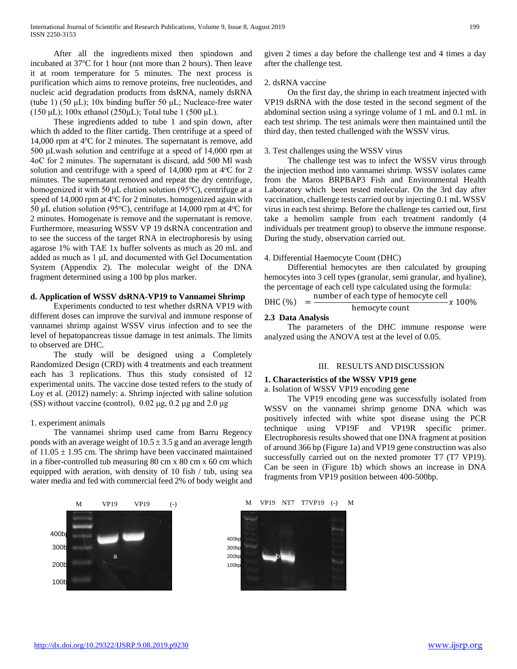After all the ingredients mixed then spindown and incubated at 37°C for 1 hour (not more than 2 hours). Then leave it at room temperature for 5 minutes. The next process is purification which aims to remove proteins, free nucleotides, and nucleic acid degradation products from dsRNA, namely dsRNA (tube 1) (50  $\mu$ L); 10x binding buffer 50  $\mu$ L; Nucleace-free water (150 μL); 100x ethanol (250μL); Total tube 1 (500 μL).

 These ingredients added to tube 1 and spin down, after which th added to the fliter cartidg. Then centrifuge at a speed of 14,000 rpm at 4°C for 2 minutes. The supernatant is remove, add 500 μLwash solution and centrifuge at a speed of 14,000 rpm at 4oC for 2 minutes. The supernatant is discard, add 500 Μl wash solution and centrifuge with a speed of  $14,000$  rpm at  $4^{\circ}$ C for 2 minutes. The supernatant removed and repeat the dry centrifuge, homogenized it with 50 μL elution solution (95°C), centrifuge at a speed of 14,000 rpm at 4°C for 2 minutes. homogenized again with 50 µL elution solution (95°C), centrifuge at 14,000 rpm at  $4^{\circ}$ C for 2 minutes. Homogenate is remove and the supernatant is remove. Furthermore, measuring WSSV VP 19 dsRNA concentration and to see the success of the target RNA in electrophoresis by using agarose 1% with TAE 1x buffer solvents as much as 20 mL and added as much as 1 μL and documented with Gel Documentation System (Appendix 2). The molecular weight of the DNA fragment determined using a 100 bp plus marker.

#### **d. Application of WSSV dsRNA-VP19 to Vannamei Shrimp**

 Experiments conducted to test whether dsRNA VP19 with different doses can improve the survival and immune response of vannamei shrimp against WSSV virus infection and to see the level of hepatopancreas tissue damage in test animals. The limits to observed are DHC.

 The study will be designed using a Completely Randomized Design (CRD) with 4 treatments and each treatment each has 3 replications. Thus this study consisted of 12 experimental units. The vaccine dose tested refers to the study of Loy et al. (2012) namely: a. Shrimp injected with saline solution (SS) without vaccine (control),  $0.02 \mu$ g,  $0.2 \mu$ g and  $2.0 \mu$ g

#### 1. experiment animals

 The vannamei shrimp used came from Barru Regency ponds with an average weight of  $10.5 \pm 3.5$  g and an average length of  $11.05 \pm 1.95$  cm. The shrimp have been vaccinated maintained in a fiber-controlled tub measuring 80 cm x 80 cm x 60 cm which equipped with aeration, with density of 10 fish / tub, using sea water media and fed with commercial feed 2% of body weight and

 $400<sub>b</sub>$ 300<sub>k</sub> 200<sub>b</sub> 100b a barang ang pangalang at pangalang ang pangalang ang pangalang ang pangalang ang pangalang ang pangalang ang

given 2 times a day before the challenge test and 4 times a day after the challenge test.

#### 2. dsRNA vaccine

 On the first day, the shrimp in each treatment injected with VP19 dsRNA with the dose tested in the second segment of the abdominal section using a syringe volume of 1 mL and 0.1 mL in each test shrimp. The test animals were then maintained until the third day, then tested challenged with the WSSV virus.

#### 3. Test challenges using the WSSV virus

 The challenge test was to infect the WSSV virus through the injection method into vannamei shrimp. WSSV isolates came from the Maros BRPBAP3 Fish and Environmental Health Laboratory which been tested molecular. On the 3rd day after vaccination, challenge tests carried out by injecting 0.1 mL WSSV virus in each test shrimp. Before the challenge tes carried out, first take a hemolim sample from each treatment randomly (4 individuals per treatment group) to observe the immune response. During the study, observation carried out.

#### 4. Differential Haemocyte Count (DHC)

 Differential hemocytes are then calculated by grouping hemocytes into 3 cell types (granular, semi granular, and hyaline), the percentage of each cell type calculated using the formula:

DHC (%)  $=$  number of each type of hemocyte cell hemocyte count  $x_{100\%}$ 

#### **2.3 Data Analysis**

 The parameters of the DHC immune response were analyzed using the ANOVA test at the level of 0.05.

#### III. RESULTS AND DISCUSSION

# **1. Characteristics of the WSSV VP19 gene**

#### a. Isolation of WSSV VP19 encoding gene

 The VP19 encoding gene was successfully isolated from WSSV on the vannamei shrimp genome DNA which was positively infected with white spot disease using the PCR technique using VP19F and VP19R specific primer. Electrophoresis results showed that one DNA fragment at position of around 366 bp (Figure 1a) and VP19 gene construction was also successfully carried out on the nexted promoter T7 (T7 VP19). Can be seen in (Figure 1b) which shows an increase in DNA fragments from VP19 position between 400-500bp.

M VP19 VP19 (-) M VP19 NT7 T7VP19 (-) M

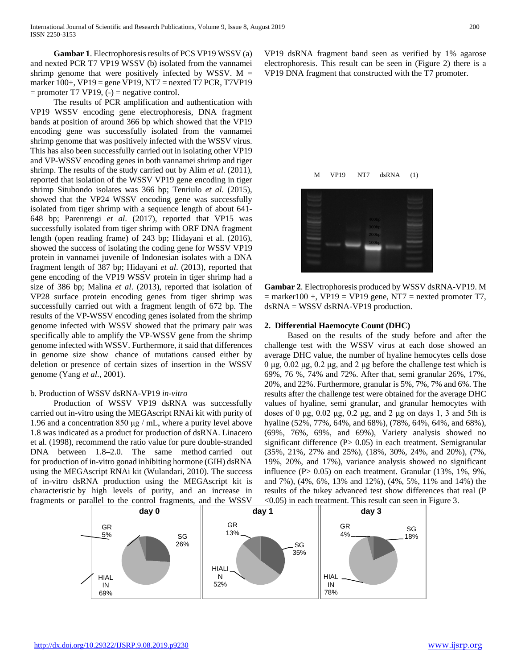**Gambar 1**. Electrophoresis results of PCS VP19 WSSV (a) and nexted PCR T7 VP19 WSSV (b) isolated from the vannamei shrimp genome that were positively infected by WSSV.  $M =$ marker 100+, VP19 = gene VP19, NT7 = nexted T7 PCR, T7VP19  $=$  promoter T7 VP19,  $(-)$  = negative control.

 The results of PCR amplification and authentication with VP19 WSSV encoding gene electrophoresis, DNA fragment bands at position of around 366 bp which showed that the VP19 encoding gene was successfully isolated from the vannamei shrimp genome that was positively infected with the WSSV virus. This has also been successfully carried out in isolating other VP19 and VP-WSSV encoding genes in both vannamei shrimp and tiger shrimp. The results of the study carried out by Alim *et al*. (2011), reported that isolation of the WSSV VP19 gene encoding in tiger shrimp Situbondo isolates was 366 bp; Tenriulo *et al*. (2015), showed that the VP24 WSSV encoding gene was successfully isolated from tiger shrimp with a sequence length of about 641- 648 bp; Parenrengi *et al*. (2017), reported that VP15 was successfully isolated from tiger shrimp with ORF DNA fragment length (open reading frame) of 243 bp; Hidayani et al. (2016), showed the success of isolating the coding gene for WSSV VP19 protein in vannamei juvenile of Indonesian isolates with a DNA fragment length of 387 bp; Hidayani *et al*. (2013), reported that gene encoding of the VP19 WSSV protein in tiger shrimp had a size of 386 bp; Malina *et al*. (2013), reported that isolation of VP28 surface protein encoding genes from tiger shrimp was successfully carried out with a fragment length of 672 bp. The results of the VP-WSSV encoding genes isolated from the shrimp genome infected with WSSV showed that the primary pair was specifically able to amplify the VP-WSSV gene from the shrimp genome infected with WSSV. Furthermore, it said that differences in genome size show chance of mutations caused either by deletion or presence of certain sizes of insertion in the WSSV genome (Yang *et al*., 2001).

#### b. Production of WSSV dsRNA-VP19 *in-vitro*

 Production of WSSV VP19 dsRNA was successfully carried out in-vitro using the MEGAscript RNAi kit with purity of 1.96 and a concentration 850 μg / mL, where a purity level above 1.8 was indicated as a product for production of dsRNA. Linacero et al. (1998), recommend the ratio value for pure double-stranded DNA between 1.8–2.0. The same method carried out for production of in-vitro gonad inhibiting hormone (GIH) dsRNA using the MEGAscript RNAi kit (Wulandari, 2010). The success of in-vitro dsRNA production using the MEGAscript kit is characteristic by high levels of purity, and an increase in fragments or parallel to the control fragments, and the WSSV

VP19 dsRNA fragment band seen as verified by 1% agarose electrophoresis. This result can be seen in (Figure 2) there is a VP19 DNA fragment that constructed with the T7 promoter.



**Gambar 2**. Electrophoresis produced by WSSV dsRNA-VP19. M  $=$  marker100 +, VP19 = VP19 gene, NT7 = nexted promoter T7, dsRNA = WSSV dsRNA-VP19 production.

#### **2. Differential Haemocyte Count (DHC)**

 Based on the results of the study before and after the challenge test with the WSSV virus at each dose showed an average DHC value, the number of hyaline hemocytes cells dose 0 μg, 0.02 μg, 0.2 μg, and 2 μg before the challenge test which is 69%, 76 %, 74% and 72%. After that, semi granular 26%, 17%, 20%, and 22%. Furthermore, granular is 5%, 7%, 7% and 6%. The results after the challenge test were obtained for the average DHC values of hyaline, semi granular, and granular hemocytes with doses of 0 μg, 0.02 μg, 0.2 μg, and 2 μg on days 1, 3 and 5th is hyaline (52%, 77%, 64%, and 68%), (78%, 64%, 64%, and 68%), (69%, 76%, 69%, and 69%), Variety analysis showed no significant difference  $(P> 0.05)$  in each treatment. Semigranular (35%, 21%, 27% and 25%), (18%, 30%, 24%, and 20%), (7%, 19%, 20%, and 17%), variance analysis showed no significant influence (P > 0.05) on each treatment. Granular (13%, 1%, 9%, and 7%), (4%, 6%, 13% and 12%), (4%, 5%, 11% and 14%) the results of the tukey advanced test show differences that real (P <0.05) in each treatment. This result can seen in Figure 3.

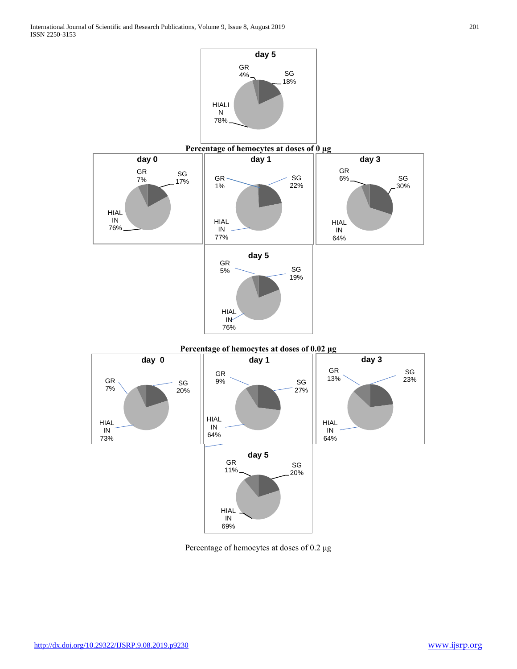

Percentage of hemocytes at doses of 0.2 μg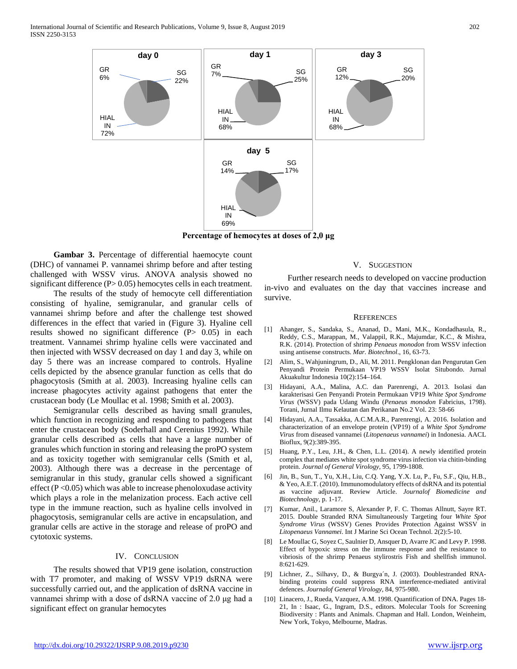International Journal of Scientific and Research Publications, Volume 9, Issue 8, August 2019 202 ISSN 2250-3153



**Percentage of hemocytes at doses of 2,0 μg**

 **Gambar 3.** Percentage of differential haemocyte count (DHC) of vannamei P. vannamei shrimp before and after testing challenged with WSSV virus. ANOVA analysis showed no significant difference (P > 0.05) hemocytes cells in each treatment.

 The results of the study of hemocyte cell differentiation consisting of hyaline, semigranular, and granular cells of vannamei shrimp before and after the challenge test showed differences in the effect that varied in (Figure 3). Hyaline cell results showed no significant difference (P > 0.05) in each treatment. Vannamei shrimp hyaline cells were vaccinated and then injected with WSSV decreased on day 1 and day 3, while on day 5 there was an increase compared to controls. Hyaline cells depicted by the absence granular function as cells that do phagocytosis (Smith at al. 2003). Increasing hyaline cells can increase phagocytes activity against pathogens that enter the crustacean body (Le Moullac et al. 1998; Smith et al. 2003).

 Semigranular cells described as having small granules, which function in recognizing and responding to pathogens that enter the crustacean body (Soderhall and Cerenius 1992). While granular cells described as cells that have a large number of granules which function in storing and releasing the proPO system and as toxicity together with semigranular cells (Smith et al, 2003). Although there was a decrease in the percentage of semigranular in this study, granular cells showed a significant effect ( $P < 0.05$ ) which was able to increase phenoloxudase activity which plays a role in the melanization process. Each active cell type in the immune reaction, such as hyaline cells involved in phagocytosis, semigranular cells are active in encapsulation, and granular cells are active in the storage and release of proPO and cytotoxic systems.

#### IV. CONCLUSION

 The results showed that VP19 gene isolation, construction with T7 promoter, and making of WSSV VP19 dsRNA were successfully carried out, and the application of dsRNA vaccine in vannamei shrimp with a dose of dsRNA vaccine of 2.0 μg had a significant effect on granular hemocytes

#### V. SUGGESTION

 Further research needs to developed on vaccine production in-vivo and evaluates on the day that vaccines increase and survive.

#### **REFERENCES**

- [1] Ahanger, S., Sandaka, S., Ananad, D., Mani, M.K., Kondadhasula, R., Reddy, C.S., Marappan, M., Valappil, R.K., Majumdar, K.C., & Mishra, R.K. (2014). Protection of shrimp *Penaeus monodon* from WSSV infection using antisense constructs. *Mar. Biotechnol*., 16, 63-73.
- [2] Alim, S., Wahjuningrum, D., Ali, M. 2011. Pengklonan dan Pengurutan Gen Penyandi Protein Permukaan VP19 WSSV Isolat Situbondo. Jurnal Akuakultur Indonesia 10(2):154–164.
- [3] Hidayani, A.A., Malina, A.C. dan Parenrengi, A. 2013. Isolasi dan karakterisasi Gen Penyandi Protein Permukaan VP19 *White Spot Syndrome Virus* (WSSV) pada Udang Windu (*Penaeus monodon* Fabricius, 1798). Torani, Jurnal Ilmu Kelautan dan Perikanan No.2 Vol. 23: 58-66
- [4] Hidayani, A.A., Tassakka, A.C.M.A.R., Parenrengi, A. 2016. Isolation and characterization of an envelope protein (VP19) of a *White Spot Syndrome Virus* from diseased vannamei (*Litopenaeus vannamei*) in Indonesia. AACL Bioflux, 9(2):389-395.
- [5] Huang, P.Y., Leu, J.H., & Chen, L.L. (2014). A newly identified protein complex that mediates white spot syndrome virus infection via chitin-binding protein. *Journal of General Virology*, 95, 1799-1808.
- [6] Jin, B., Sun, T., Yu, X.H., Liu, C.Q. Yang, Y.X. Lu, P., Fu, S.F., Qiu, H.B., & Yeo, A.E.T. (2010). Immunomodulatory effects of dsRNA and its potential as vaccine adjuvant. Review Article. *Journalof Biomedicine and Biotechnology*, p. 1-17.
- [7] Kumar, Anil., Laramore S, Alexander P, F. C. Thomas Allnutt, Sayre RT. 2015. Double Stranded RNA Simultaneously Targeting four *White Spot Syndrome Virus* (WSSV) Genes Provides Protection Against WSSV in *Litopenaeus Vannamei*. Int J Marine Sci Ocean Technol. 2(2):5-10.
- [8] Le Moullac G, Soyez C, Saulnier D, Ansquer D, Avarre JC and Levy P. 1998. Effect of hypoxic stress on the immune response and the resistance to vibriosis of the shrimp Penaeus stylirostris Fish and shellfish immunol. 8:621-629.
- [9] Lichner, Z., Silhavy, D., & Burgya´n, J. (2003). Doublestranded RNAbinding proteins could suppress RNA interference-mediated antiviral defences. *Journalof General Virology*, 84, 975-980.
- [10] Linacero, J., Rueda, Vazquez, A.M. 1998. Quantification of DNA. Pages 18-21, In : Isaac, G., Ingram, D.S., editors. Molecular Tools for Screening Biodiversity : Plants and Animals. Chapman and Hall. London, Weinheim, New York, Tokyo, Melbourne, Madras.